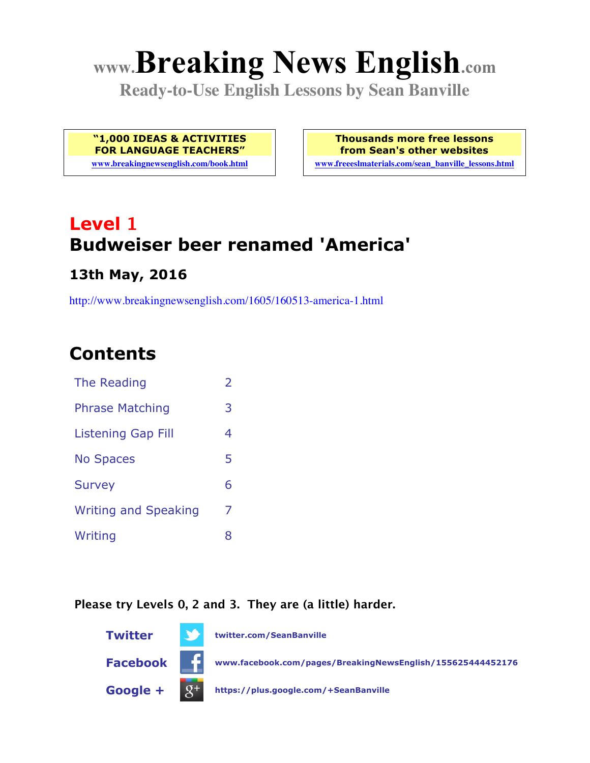# **www.Breaking News English.com**

**Ready-to-Use English Lessons by Sean Banville**

**"1,000 IDEAS & ACTIVITIES FOR LANGUAGE TEACHERS"**

**www.breakingnewsenglish.com/book.html**

**Thousands more free lessons from Sean's other websites**

**www.freeeslmaterials.com/sean\_banville\_lessons.html**

## **Level 1 Budweiser beer renamed 'America'**

### **13th May, 2016**

http://www.breakingnewsenglish.com/1605/160513-america-1.html

### **Contents**

| The Reading                 | $\overline{2}$ |
|-----------------------------|----------------|
| <b>Phrase Matching</b>      | 3              |
| <b>Listening Gap Fill</b>   | 4              |
| <b>No Spaces</b>            | 5              |
| <b>Survey</b>               | 6              |
| <b>Writing and Speaking</b> | 7              |
| Writing                     | 8              |

#### **Please try Levels 0, 2 and 3. They are (a little) harder.**

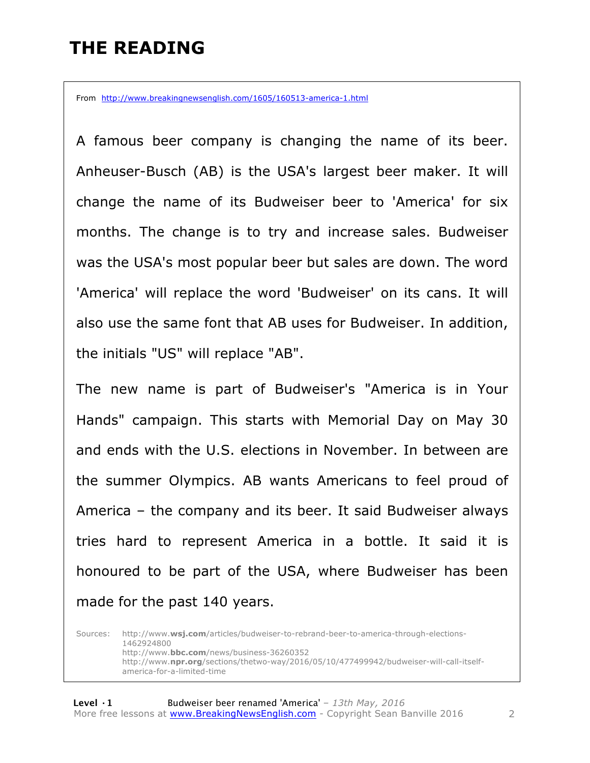### **THE READING**

From http://www.breakingnewsenglish.com/1605/160513-america-1.html

A famous beer company is changing the name of its beer. Anheuser-Busch (AB) is the USA's largest beer maker. It will change the name of its Budweiser beer to 'America' for six months. The change is to try and increase sales. Budweiser was the USA's most popular beer but sales are down. The word 'America' will replace the word 'Budweiser' on its cans. It will also use the same font that AB uses for Budweiser. In addition, the initials "US" will replace "AB".

The new name is part of Budweiser's "America is in Your Hands" campaign. This starts with Memorial Day on May 30 and ends with the U.S. elections in November. In between are the summer Olympics. AB wants Americans to feel proud of America – the company and its beer. It said Budweiser always tries hard to represent America in a bottle. It said it is honoured to be part of the USA, where Budweiser has been made for the past 140 years.

Sources: http://www.**wsj.com**/articles/budweiser-to-rebrand-beer-to-america-through-elections-1462924800 http://www.**bbc.com**/news/business-36260352 http://www.**npr.org**/sections/thetwo-way/2016/05/10/477499942/budweiser-will-call-itselfamerica-for-a-limited-time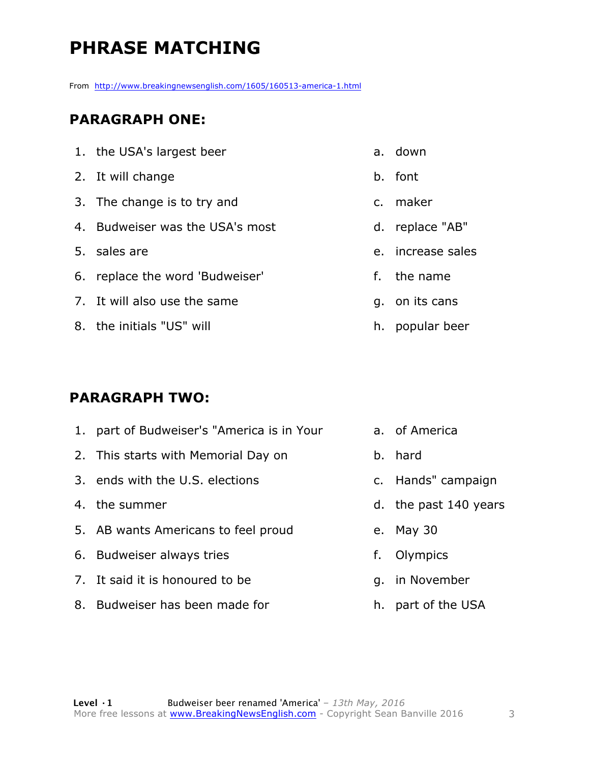### **PHRASE MATCHING**

From http://www.breakingnewsenglish.com/1605/160513-america-1.html

#### **PARAGRAPH ONE:**

| 1. the USA's largest beer       | a. down           |
|---------------------------------|-------------------|
| 2. It will change               | b. font           |
| 3. The change is to try and     | c. maker          |
| 4. Budweiser was the USA's most | d. replace "AB"   |
| 5. sales are                    | e. increase sales |
| 6. replace the word 'Budweiser' | f. the name       |
| 7. It will also use the same    | q. on its cans    |
| 8. the initials "US" will       | h. popular beer   |

#### **PARAGRAPH TWO:**

| 1. part of Budweiser's "America is in Your |    | a. of America         |
|--------------------------------------------|----|-----------------------|
| 2. This starts with Memorial Day on        |    | b. hard               |
| 3. ends with the U.S. elections            |    | c. Hands" campaign    |
| 4. the summer                              |    | d. the past 140 years |
| 5. AB wants Americans to feel proud        |    | e. May 30             |
| 6. Budweiser always tries                  | f. | Olympics              |
| 7. It said it is honoured to be            |    | g. in November        |
| 8. Budweiser has been made for             |    | h. part of the USA    |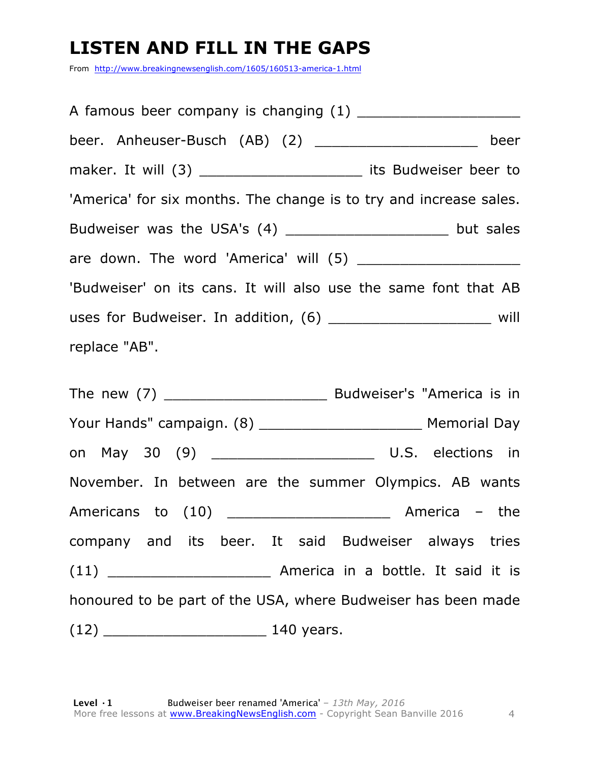### **LISTEN AND FILL IN THE GAPS**

From http://www.breakingnewsenglish.com/1605/160513-america-1.html

A famous beer company is changing  $(1)$ beer. Anheuser-Busch (AB) (2) \_\_\_\_\_\_\_\_\_\_\_\_\_\_\_\_\_\_\_ beer maker. It will (3) \_\_\_\_\_\_\_\_\_\_\_\_\_\_\_\_\_\_\_\_\_\_\_ its Budweiser beer to 'America' for six months. The change is to try and increase sales. Budweiser was the USA's (4) \_\_\_\_\_\_\_\_\_\_\_\_\_\_\_\_\_\_\_\_\_\_ but sales are down. The word 'America' will (5) 'Budweiser' on its cans. It will also use the same font that AB uses for Budweiser. In addition, (6) \_\_\_\_\_\_\_\_\_\_\_\_\_\_\_\_\_\_\_ will replace "AB".

The new (7) \_\_\_\_\_\_\_\_\_\_\_\_\_\_\_\_\_\_\_ Budweiser's "America is in Your Hands" campaign. (8) \_\_\_\_\_\_\_\_\_\_\_\_\_\_\_\_\_\_\_ Memorial Day on May 30 (9) \_\_\_\_\_\_\_\_\_\_\_\_\_\_\_\_\_\_\_ U.S. elections in November. In between are the summer Olympics. AB wants Americans to (10) \_\_\_\_\_\_\_\_\_\_\_\_\_\_\_\_\_\_\_ America – the company and its beer. It said Budweiser always tries (11) \_\_\_\_\_\_\_\_\_\_\_\_\_\_\_\_\_\_\_ America in a bottle. It said it is honoured to be part of the USA, where Budweiser has been made (12) \_\_\_\_\_\_\_\_\_\_\_\_\_\_\_\_\_\_\_ 140 years.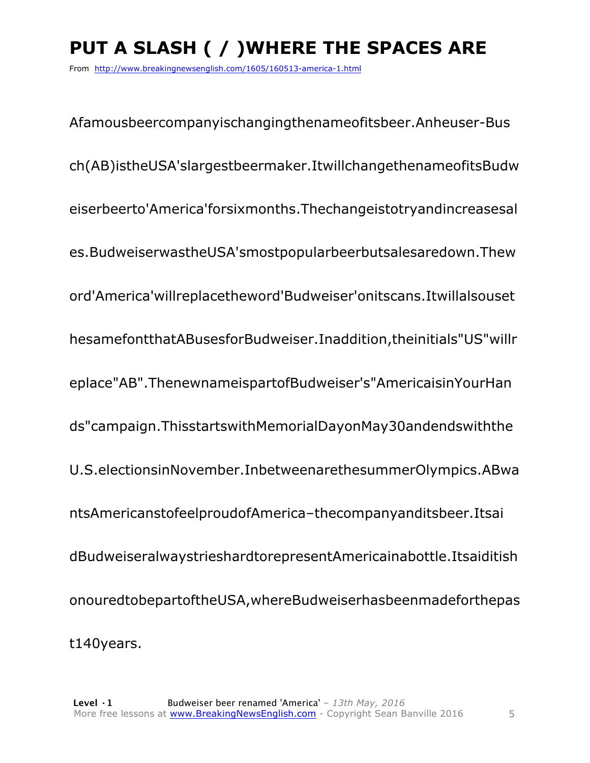### **PUT A SLASH ( / )WHERE THE SPACES ARE**

From http://www.breakingnewsenglish.com/1605/160513-america-1.html

Afamousbeercompanyischangingthenameofitsbeer.Anheuser-Bus ch(AB)istheUSA'slargestbeermaker.ItwillchangethenameofitsBudw eiserbeerto'America'forsixmonths.Thechangeistotryandincreasesal es.BudweiserwastheUSA'smostpopularbeerbutsalesaredown.Thew ord'America'willreplacetheword'Budweiser'onitscans.Itwillalsouset hesamefontthatABusesforBudweiser.Inaddition,theinitials"US"willr eplace"AB".ThenewnameispartofBudweiser's"AmericaisinYourHan ds"campaign.ThisstartswithMemorialDayonMay30andendswiththe U.S.electionsinNovember.InbetweenarethesummerOlympics.ABwa ntsAmericanstofeelproudofAmerica–thecompanyanditsbeer.Itsai dBudweiseralwaystrieshardtorepresentAmericainabottle.Itsaiditish onouredtobepartoftheUSA,whereBudweiserhasbeenmadeforthepas t140years.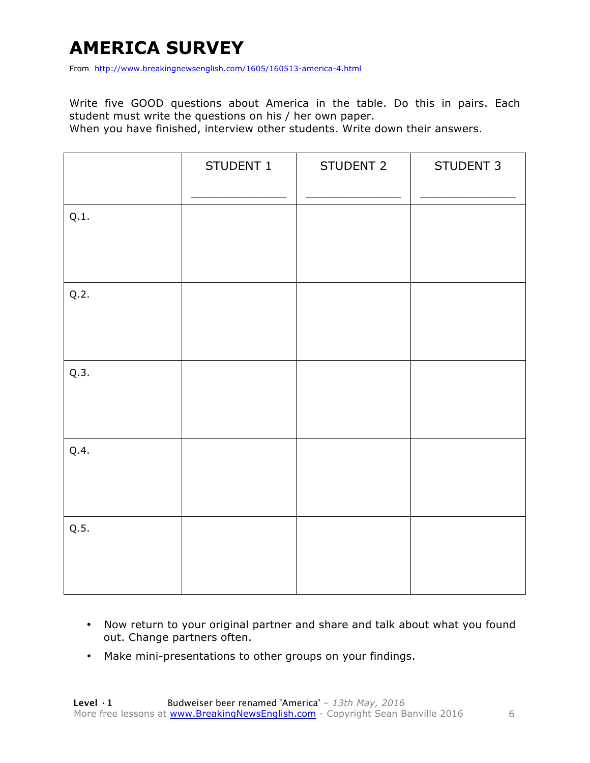### **AMERICA SURVEY**

From http://www.breakingnewsenglish.com/1605/160513-america-4.html

Write five GOOD questions about America in the table. Do this in pairs. Each student must write the questions on his / her own paper.

When you have finished, interview other students. Write down their answers.

|      | STUDENT 1 | STUDENT 2 | STUDENT 3 |
|------|-----------|-----------|-----------|
| Q.1. |           |           |           |
| Q.2. |           |           |           |
| Q.3. |           |           |           |
| Q.4. |           |           |           |
| Q.5. |           |           |           |

- Now return to your original partner and share and talk about what you found out. Change partners often.
- Make mini-presentations to other groups on your findings.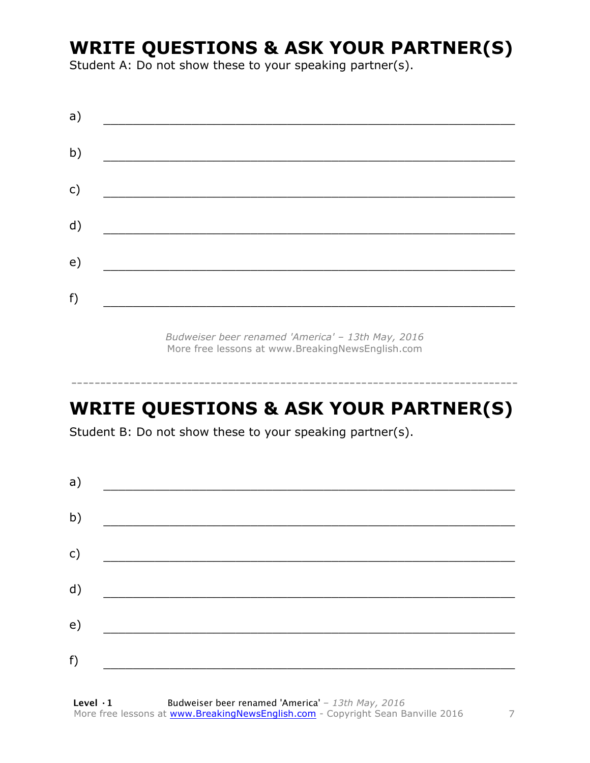### **WRITE QUESTIONS & ASK YOUR PARTNER(S)**

Student A: Do not show these to your speaking partner(s).

*Budweiser beer renamed 'America' – 13th May, 2016* More free lessons at www.BreakingNewsEnglish.com

### **WRITE QUESTIONS & ASK YOUR PARTNER(S)**

-----------------------------------------------------------------------------

Student B: Do not show these to your speaking partner(s).

| a) |                                          |  |  |
|----|------------------------------------------|--|--|
| b) | <u> 1980 - Jan Barbara Barat, manala</u> |  |  |
| c) |                                          |  |  |
| d) |                                          |  |  |
| e) |                                          |  |  |
| f) |                                          |  |  |
|    |                                          |  |  |